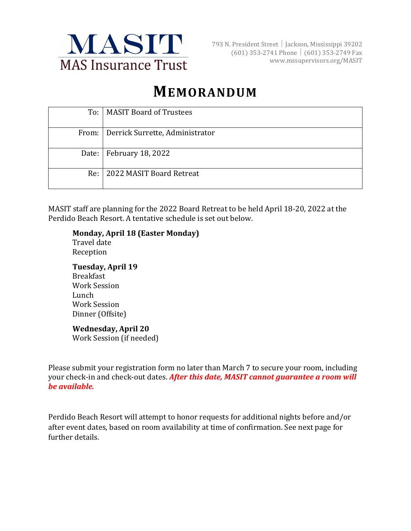

793 N. President Street Jackson, Mississippi 39202  $(601)$  353-2741 Phone (601) 353-2749 Fax www.mssupervisors.org/MASIT

# **MEMORANDUM**

|     | To: MASIT Board of Trustees             |
|-----|-----------------------------------------|
|     |                                         |
|     | From:   Derrick Surrette, Administrator |
|     |                                         |
|     | Date:   February 18, 2022               |
|     |                                         |
| Re: | 2022 MASIT Board Retreat                |
|     |                                         |

MASIT staff are planning for the 2022 Board Retreat to be held April 18-20, 2022 at the Perdido Beach Resort. A tentative schedule is set out below.

#### **Monday, April 18 (Easter Monday)**

Travel date Reception

## **Tuesday, April 19**

Breakfast Work Session Lunch Work Session Dinner (Offsite)

#### **Wednesday, April 20**

Work Session (if needed)

Please submit your registration form no later than March 7 to secure your room, including your check-in and check-out dates. *After this date, MASIT cannot guarantee a room will be available.* 

Perdido Beach Resort will attempt to honor requests for additional nights before and/or after event dates, based on room availability at time of confirmation. See next page for further details.